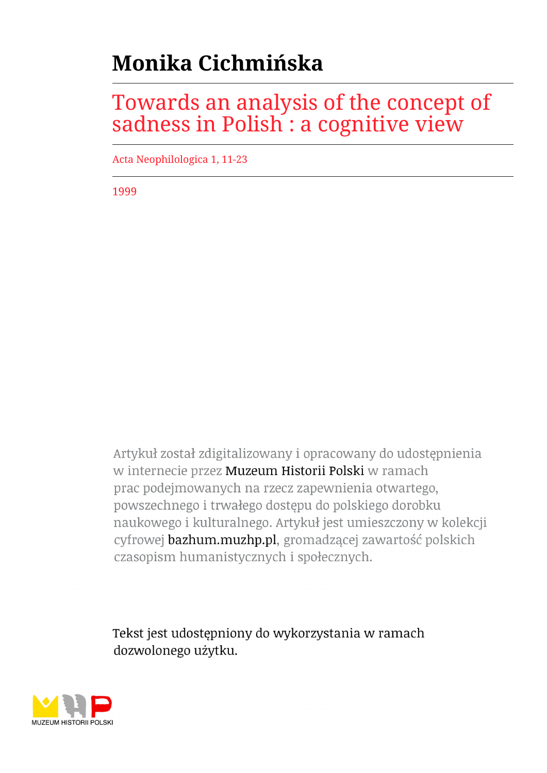# **Monika Cichmińska**

# Towards an analysis of the concept of sadness in Polish : a cognitive view

Acta Neophilologica 1, 11-23

1999

Artykuł został zdigitalizowany i opracowany do udostępnienia w internecie przez Muzeum Historii Polski w ramach prac podejmowanych na rzecz zapewnienia otwartego, powszechnego i trwałego dostępu do polskiego dorobku naukowego i kulturalnego. Artykuł jest umieszczony w kolekcji cyfrowej bazhum.muzhp.pl, gromadzącej zawartość polskich czasopism humanistycznych i społecznych.

Tekst jest udostępniony do wykorzystania w ramach dozwolonego użytku.

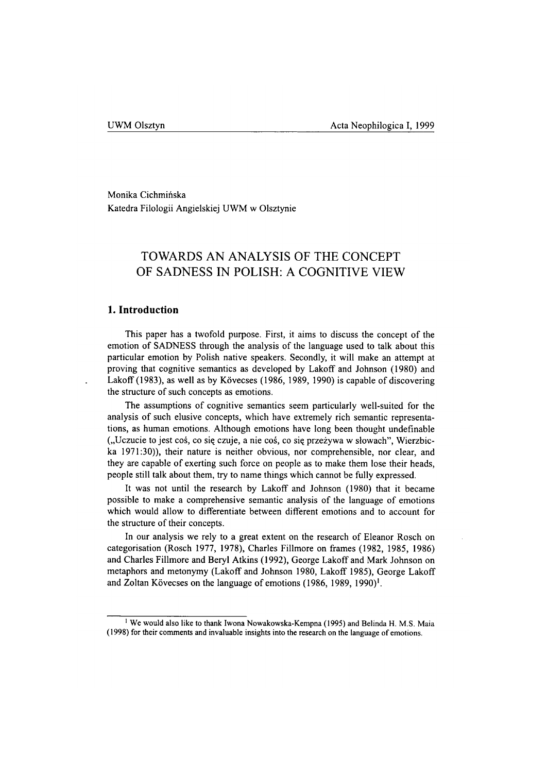Monika Cichmińska Katedra Filologii Angielskiej UWM w Olsztynie

# **TOWARDS AN ANALYSIS OF THE CONCEPT OF SADNESS IN POLISH: A COGNITIVE VIEW**

# **1. Introduction**

This paper has a twofold purpose. First, it aims to discuss the concept of the emotion of SADNESS through the analysis of the language used to talk about this particular emotion by Polish native speakers. Secondly, it will make an attempt at proving that cognitive semantics as developed by Lakoff and Johnson (1980) and Lakoff (1983), as well as by Kövecses (1986, 1989, 1990) is capable of discovering the structure of such concepts as emotions.

The assumptions of cognitive semantics seem particularly well-suited for the analysis of such elusive concepts, which have extremely rich semantic representations, as human emotions. Although emotions have long been thought undefinable ("Uczucie to jest coś, co się czuje, a nie coś, co się przeżywa w słowach", Wierzbicka 1971:30)), their nature is neither obvious, nor comprehensible, nor clear, and they are capable of exerting such force on people as to make them lose their heads, people still talk about them, try to name things which cannot be fully expressed.

It was not until the research by LakofF and Johnson (1980) that it became possible to make a comprehensive semantic analysis of the language of emotions which would allow to differentiate between different emotions and to account for the structure of their concepts.

In our analysis we rely to a great extent on the research of Eleanor Rosch on categorisation (Rosch 1977, 1978), Charles Fillmore on frames (1982, 1985, 1986) and Charles Fillmore and Beryl Atkins (1992), George Lakoff and Mark Johnson on metaphors and metonymy (Lakoff and Johnson 1980, Lakoff 1985), George Lakoff and Zoltan Kövecses on the language of emotions (1986, 1989, 1990)<sup>1</sup>.

**<sup>1</sup> We would also like to thank Iwona Nowakowska-Kempna (1995) and Belinda H. M.S. Maia (1998) for their comments and invaluable insights into the research on the language of emotions.**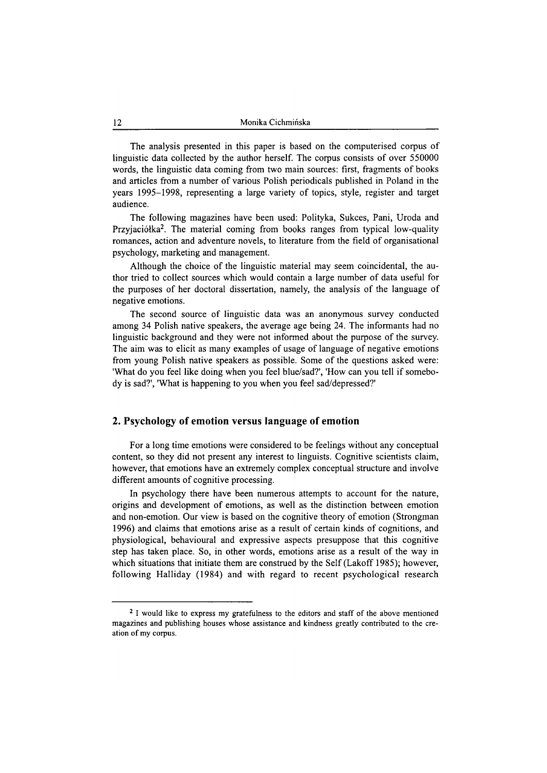The analysis presented in this paper is based on the computerised corpus of linguistic data collected by the author herself. The corpus consists of over 550000 words, the linguistic data coming from two main sources: first, fragments of books and articles from a number of various Polish periodicals published in Poland in the years 1995-1998, representing a large variety of topics, style, register and target audience.

The following magazines have been used: Polityka, Sukces, Pani, Uroda and Przyjaciółka<sup>2</sup>. The material coming from books ranges from typical low-quality romances, action and adventure novels, to literature from the field of organisational psychology, marketing and management.

Although the choice of the linguistic material may seem coincidental, the author tried to collect sources which would contain a large number of data useful for the purposes of her doctoral dissertation, namely, the analysis of the language of negative emotions.

The second source of linguistic data was an anonymous survey conducted among 34 Polish native speakers, the average age being 24. The informants had no linguistic background and they were not informed about the purpose of the survey. The aim was to elicit as many examples of usage of language of negative emotions from young Polish native speakers as possible. Some of the questions asked were: 'What do you feel like doing when you feel blue/sad?', 'How can you tell if somebody is sad?', 'What is happening to you when you feel sad/depressed?'

# **2. Psychology of emotion versus language of emotion**

For a long time emotions were considered to be feelings without any conceptual content, so they did not present any interest to linguists. Cognitive scientists claim, however, that emotions have an extremely complex conceptual structure and involve different amounts of cognitive processing.

In psychology there have been numerous attempts to account for the nature, origins and development of emotions, as well as the distinction between emotion and non-emotion. Our view is based on the cognitive theory of emotion (Strongman 1996) and claims that emotions arise as a result of certain kinds of cognitions, and physiological, behavioural and expressive aspects presuppose that this cognitive step has taken place. So, in other words, emotions arise as a result of the way in which situations that initiate them are construed by the Self (Lakoff 1985); however, following Halliday (1984) and with regard to recent psychological research

**<sup>2</sup> I would like to express my gratefulness to the editors and staff of the above mentioned magazines and publishing houses whose assistance and kindness greatly contributed to the creation of my corpus.**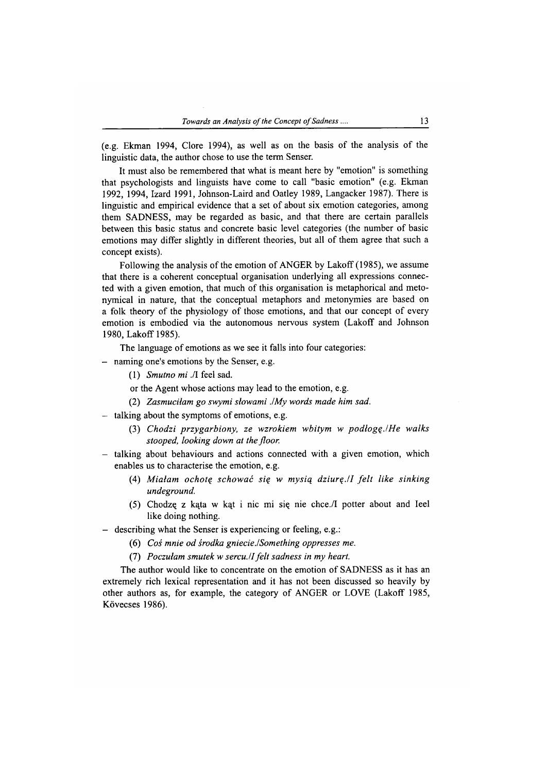(e.g. Ekman 1994, Clore 1994), as well as on the basis of the analysis of the linguistic data, the author chose to use the term Senser.

It must also be remembered that what is meant here by "emotion" is something that psychologists and linguists have come to call "basic emotion" (e.g. Ekman 1992, 1994, Izard 1991, Johnson-Laird and Oatley 1989, Langacker 1987). There is linguistic and empirical evidence that a set of about six emotion categories, among them SADNESS, may be regarded as basic, and that there are certain parallels between this basic status and concrete basic level categories (the number of basic emotions may differ slightly in different theories, but all of them agree that such a concept exists).

Following the analysis of the emotion of ANGER by Lakoff (1985), we assume that there is a coherent conceptual organisation underlying all expressions connected with a given emotion, that much of this organisation is metaphorical and metonymical in nature, that the conceptual metaphors and metonymies are based on a folk theory of the physiology of those emotions, and that our concept of every emotion is embodied via the autonomous nervous system (Lakoff and Johnson 1980, Lakoff 1985).

The language of emotions as we see it falls into four categories:

- naming one's emotions by the Senser, e.g.
	- (1) *Smutno mi* ./I feel sad.

or the Agent whose actions may lead to the emotion, e.g.

- (2) *Zasmuciłam go swymi słowami JMy words made him sad.*
- talking about the symptoms of emotions, e.g.
	- (3) *Chodzi przygarbiony, ze wzrokiem wbitym w podłogę./He walks stooped, looking down at the floor.*
- talking about behaviours and actions connected with a given emotion, which enables us to characterise the emotion, e.g.
	- (4) Miałam ochotę schować się w mysią dziurę./I felt like sinking *undeground.*
	- (5) Chodzą z kąta w kąt i nic mi się nie chce./I potter about and Ieel like doing nothing.
- describing what the Senser is experiencing or feeling, e.g.:
	- (6) *Coś mnie od środka gniecie ./Something oppresses me.*
	- (7) *Poczułam smutek w sercu. U felt sadness in my heart.*

The author would like to concentrate on the emotion of SADNESS as it has an extremely rich lexical representation and it has not been discussed so heavily by other authors as, for example, the category of ANGER or LOVE (Lakoff 1985, Kövecses 1986).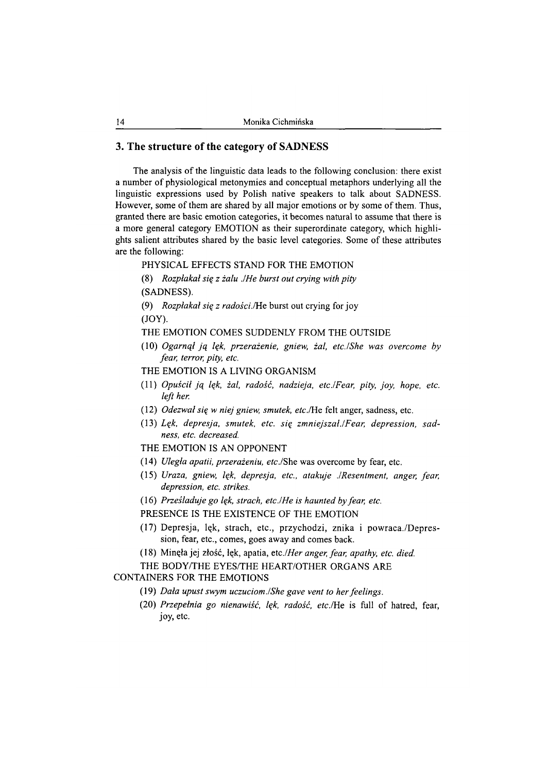# **3. The structure of the category of SADNESS**

The analysis of the linguistic data leads to the following conclusion: there exist a number of physiological metonymies and conceptual metaphors underlying all the linguistic expressions used by Polish native speakers to talk about SADNESS. However, some of them are shared by all major emotions or by some of them. Thus, granted there are basic emotion categories, it becomes natural to assume that there is a more general category EMOTION as their superordinate category, which highlights salient attributes shared by the basic level categories. Some of these attributes are the following:

# PHYSICAL EFFECTS STAND FOR THE EMOTION

(8) *Rozpłakał się z żalu JHe burst out crying with pity*

(SADNESS).

- (9) *Rozpłakał się z radości*.!He burst out crying for joy (JOY).
- THE EMOTION COMES SUDDENLY FROM THE OUTSIDE
- (10) *Ogarnął ją lęk, przerażenie, gniew, żal, etc./She was overcome by fear, terror, pity, etc.*
- THE EMOTION IS A LIVING ORGANISM
- (11) *Opuścił ją lęk, żal, radość, nadzieja, etc.I Fear, pity, joy, hope, etc. left her.*
- (12) *Odezwał się w niej gniew, smutek, etc*./He felt anger, sadness, etc.
- (13) *Lęk, depresja, smutek, etc. się zmniejszał./Fear, depression, sadness, etc. decreased.*
- THE EMOTION IS AN OPPONENT
- (14) *Uległa apatii, przerażeniu, etc*./She was overcome by fear, etc.
- (15) *Uraza, gniew, lęk, depresja, etc., atakuje ./Resentment, anger, fear, depression, etc. strikes.*
- (16) *Prześladuje go lęk, strach, etc./He is haunted by fear, etc.*

PRESENCE IS THE EXISTENCE OF THE EMOTION

- (17) Depresja, lęk, strach, etc., przychodzi, znika i powraca./Depression, fear, etc., comes, goes away and comes back.
- (18) Minęła jej złość, lęk, apatia, *etc./Her anger, fear, apathy, etc. died.*

THE BODY/THE EYES/THE HEART/OTHER ORGANS ARE

# CONTAINERS FOR THE EMOTIONS

- (19) *Dała upust swym uczuciom./She gave vent to her feelings.*
- (20) *Przepełnia go nienawiść, lęk, radość, etc*./He is full of hatred, fear, joy, etc.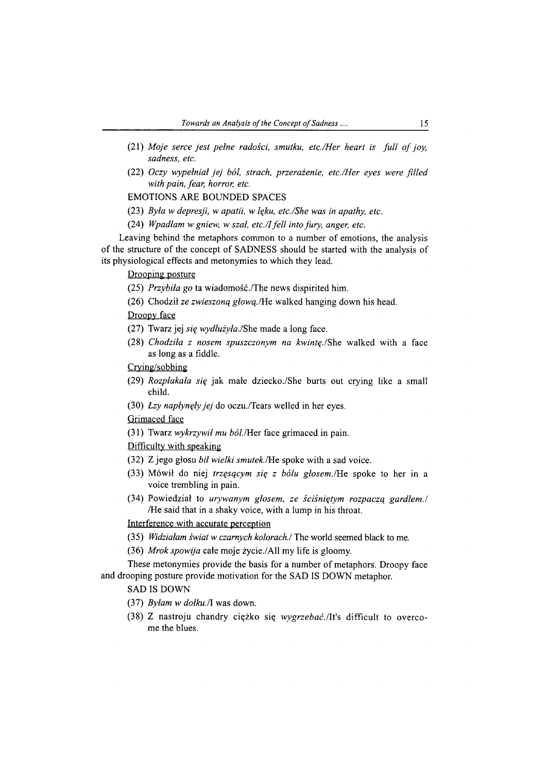- (21) Moje serce jest pełne radości, smutku, etc./Her heart is full of joy, *sadness, etc.*
- (22) *Oczy wypełniał jej ból, strach, przerażenie, etc./Her eyes were filled with pain, fear, horror, etc.*

EMOTIONS ARE BOUNDED SPACES

- (23) *Była w depresji, w apatii, w lęku, etc./She was in apathy, etc.*
- (24) *Wpadłam w gniew, w szał, etc./I fell into fury, anger, etc.*

Leaving behind the metaphors common to a number of emotions, the analysis of the structure of the concept of SADNESS should be started with the analysis of its physiological effects and metonymies to which they lead.

#### Drooping posture

- (25) *Przybiła go* ta wiadomość./The news dispirited him.
- (26) Chodził *ze zwieszoną głową./*He walked hanging down his head.

# Droopy face

- (27) Twarz jej *się wydłużyła.*/She made a long face.
- (28) *Chodziła z nosem spuszczonym na kwintę./*She walked with a face as long as a fiddle.

Crving/sobbing

- (29) *Rozpłakała się* jak małe dziecko./She hurts out crying like a small child.
- (30) *Łzy napłynęły jej* do oczu./Tears welled in her eyes.

Grimaced face

(31) Twarz *wykrzywił mu ból./*Her face grimaced in pain.

# Difficulty with speaking

- (32) Z jego głosu *bił wielki smutek.*/He spoke with a sad voice.
- (33) Mówił do niej *trzęsącym się z bólu głosem./*He spoke to her in a voice trembling in pain.
- (34) Powiedział to *urywanym głosem, ze ściśniętym rozpaczą gardłem./* /He said that in a shaky voice, with a lump in his throat.

Interference with accurate perception

- (35) *Widziałam świat w czarnych kolorach./* The world seemed black to me.
- (36) *Mrok spowija* całe moje życie./All my life is gloomy.

These metonymies provide the basis for a number of metaphors. Droopy face and drooping posture provide motivation for the SAD IS DOWN metaphor.

#### SAD IS DOWN

- (37) *Byłam w dołku./l* was down.
- (38) Z nastroju chandry ciężko się *wygrzebać.*/It's difficult to overcome the blues.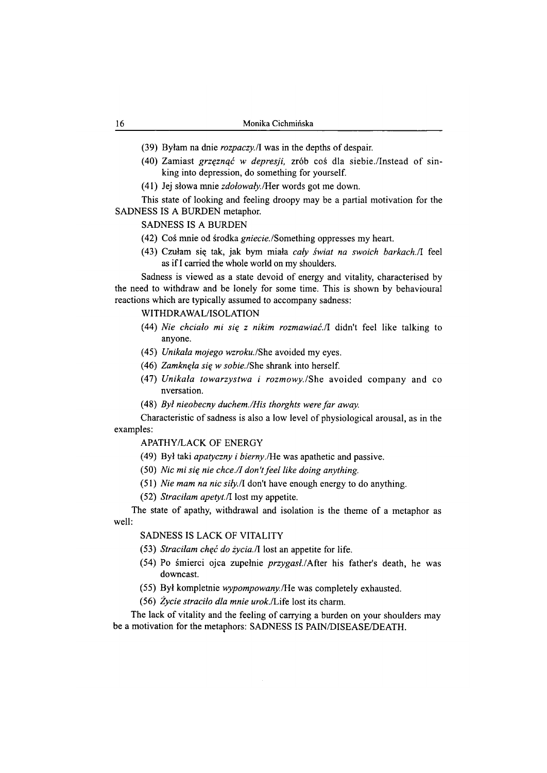- (39) Byłam na dnie *rozpaczy.fi* was in the depths of despair.
- (40) Zamiast *grzęznąć w depresji,* zrób coś dla siebie./Instead of sinking into depression, do something for yourself.
- (41) Jej słowa mnie *zdołowały./Her* words got me down.

This state of looking and feeling droopy may be a partial motivation for the SADNESS IS A BURDEN metaphor.

# SADNESS IS A BURDEN

- (42) Coś mnie od środka *gniecie.* /Something oppresses my heart.
- (43) Czułam się tak, jak bym miała *cały świat na swoich barkach.il* feel as if I carried the whole world on my shoulders.

Sadness is viewed as a state devoid of energy and vitality, characterised by the need to withdraw and be lonely for some time. This is shown by behavioural reactions which are typically assumed to accompany sadness:

#### WITHDRAWAL/ISOLATION

- (44) *Nie chciało mi się z nikim rozmawiać.*/1 didn't feel like talking to anyone.
- (45) *Unikała mojego wzroku./She* avoided my eyes.
- (46) *Zamknęła się w sobie./*She shrank into herself.
- (47) *Unikała towarzystwa i rozmowy.*/She avoided company and co nversation.
- (48) *Był nieobecny duchem./His thorghts were far away.*

Characteristic of sadness is also a low level of physiological arousal, as in the examples:

# APATHY/LACK OF ENERGY

- (49) Był taki *apatyczny i bierny.*/He was apathetic and passive.
- (50) *Nic mi się nie chce./I don't feel like doing anything.*
- (51) *Nie mam na nic siły./l* don't have enough energy to do anything.
- (52) *Straciłam apetyt./l* lost my appetite.

The state of apathy, withdrawal and isolation is the theme of a metaphor as well:

# SADNESS IS LACK OF VITALITY

- (53) *Straciłam chęć do źycia.fl* lost an appetite for life.
- (54) Po śmierci ojca zupełnie *przygasł./*After his father's death, he was downcast.
- (55) Był kompletnie *wypompowany./*He was completely exhausted.
- (56) *Życie straciło dla mnie urok.*/Life lost its charm.

The lack of vitality and the feeling of carrying a burden on your shoulders may be a motivation for the metaphors: SADNESS IS PAIN/DISEASE/DEATH.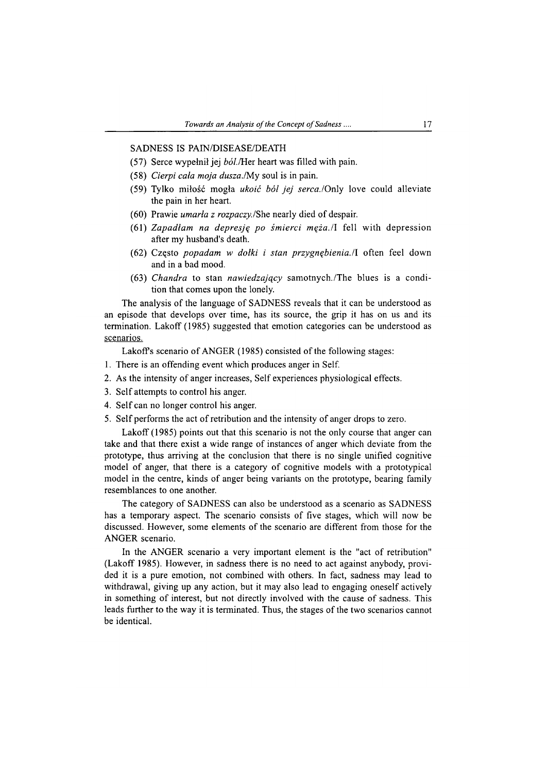#### SADNESS IS PAIN/DISEASE/DEATH

- $(57)$  Serce wypełnił jej  $b\dot{\theta}$ ./Her heart was filled with pain.
- (58) *Cierpi cała moja dusza./*My soul is in pain.
- (59) Tylko miłość mogła *ukoić ból jej serca./*Only love could alleviate the pain in her heart.
- (60) Prawie *umarła z rozpaczy./She* nearly died of despair.
- (61) *Zapadłam na depresję po śmierci męża./l* fell with depression after my husband's death.
- (62) Często *popadam w dołki i stan przygnębienia.*/1 often feel down and in a bad mood.
- (63) *Chandra* to stan *nawiedzający* samotnych./The blues is a condition that comes upon the lonely.

The analysis of the language of SADNESS reveals that it can be understood as an episode that develops over time, has its source, the grip it has on us and its termination. Lakoff (1985) suggested that emotion categories can be understood as scenarios.

Lakoff's scenario of ANGER (1985) consisted of the following stages:

- 1. There is an offending event which produces anger in Self.
- 2. As the intensity of anger increases, Self experiences physiological effects.
- 3. Self attempts to control his anger.
- 4. Self can no longer control his anger.
- 5. Self performs the act of retribution and the intensity of anger drops to zero.

Lakoff (1985) points out that this scenario is not the only course that anger can take and that there exist a wide range of instances of anger which deviate from the prototype, thus arriving at the conclusion that there is no single unified cognitive model of anger, that there is a category of cognitive models with a prototypical model in the centre, kinds of anger being variants on the prototype, bearing family resemblances to one another.

The category of SADNESS can also be understood as a scenario as SADNESS has a temporary aspect. The scenario consists of five stages, which will now be discussed. However, some elements of the scenario are different from those for the ANGER scenario.

In the ANGER scenario a very important element is the "act of retribution" (Lakoff 1985). However, in sadness there is no need to act against anybody, provided it is a pure emotion, not combined with others. In fact, sadness may lead to withdrawal, giving up any action, but it may also lead to engaging oneself actively in something of interest, but not directly involved with the cause of sadness. This leads further to the way it is terminated. Thus, the stages of the two scenarios cannot be identical.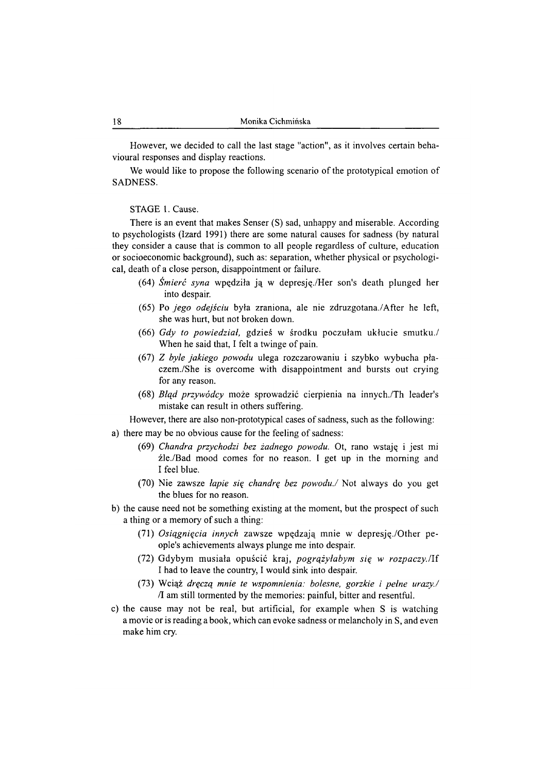However, we decided to call the last stage "action", as it involves certain behavioural responses and display reactions.

We would like to propose the following scenario of the prototypical emotion of SADNESS.

#### STAGE 1. Cause.

There is an event that makes Senser (S) sad, unhappy and miserable. According to psychologists (Izard 1991) there are some natural causes for sadness (by natural they consider a cause that is common to all people regardless of culture, education or socioeconomic background), such as: separation, whether physical or psychological, death of a close person, disappointment or failure.

- (64) *Śmierć syna* wpędziła ją w depresję./Her son's death plunged her into despair.
- (65) Po *jego odejściu* była zraniona, ale nie zdruzgotana./After he left, she was hurt, but not broken down.
- (66) *Gdy to powiedział,* gdzieś w środku poczułam ukłucie smutku./ When he said that, I felt a twinge of pain.
- (67) *Z byle jakiego powodu* ulega rozczarowaniu i szybko wybucha płaczem. /She is overcome with disappointment and bursts out crying for any reason.
- (68) *Błąd przywódcy* może sprowadzić cierpienia na innych./Th leader's mistake can result in others suffering.

However, there are also non-prototypical cases of sadness, such as the following:

- a) there may be no obvious cause for the feeling of sadness:
	- (69) *Chandra przychodzi bez żadnego powodu.* Ot, rano wstaję i jest mi źle./Bad mood comes for no reason. I get up in the morning and I feel blue.
	- (70) Nie zawsze *łapie się chandrę bez powodu./* Not always do you get the blues for no reason.
- b) the cause need not be something existing at the moment, but the prospect of such a thing or a memory of such a thing:
	- (71) *Osiągnięcia innych* zawsze wpędzają mnie w depresję./Other people's achievements always plunge me into despair.
	- (72) Gdybym musiała opuścić kraj, *pogrążyłabym się w rozpaczy.Hi* I had to leave the country, I would sink into despair.
	- (73) Wciąż *dręczą mnie te wspomnienia: bolesne, gorzkie i pełne urazy./* /1 am still tormented by the memories: painful, bitter and resentful.
- c) the cause may not be real, but artificial, for example when S is watching a movie or is reading a book, which can evoke sadness or melancholy in S, and even make him cry.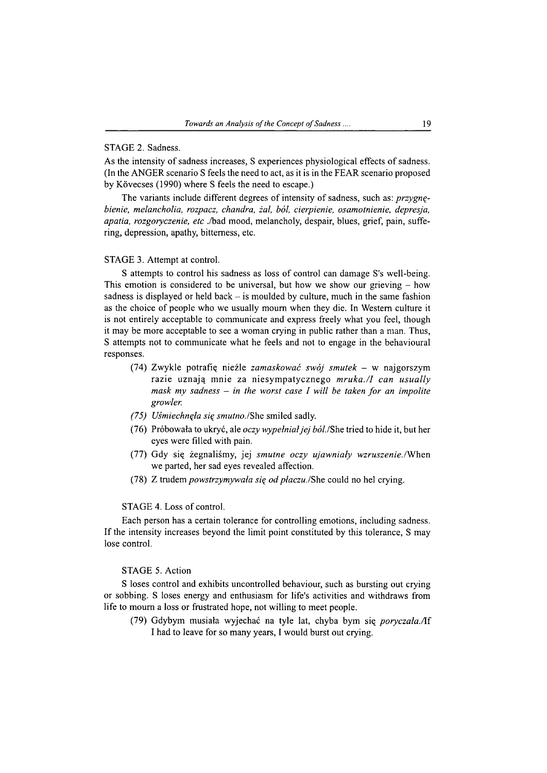#### STAGE 2. Sadness.

As the intensity of sadness increases, S experiences physiological effects of sadness. (In the ANGER scenario S feels the need to act, as it is in the FEAR scenario proposed by Kövecses (1990) where S feels the need to escape.)

The variants include different degrees of intensity of sadness, such as: *przygnębienie, melancholia, rozpacz, chandra, żal, ból, cierpienie, osamotnienie, depresja, apatia, rozgoryczenie, etc* ./bad mood, melancholy, despair, blues, grief, pain, suffering, depression, apathy, bitterness, etc.

#### STAGE 3. Attempt at control.

S attempts to control his sadness as loss of control can damage S's well-being. This emotion is considered to be universal, but how we show our grieving  $-$  how sadness is displayed or held back  $-$  is moulded by culture, much in the same fashion as the choice of people who we usually mourn when they die. In Western culture it is not entirely acceptable to communicate and express freely what you feel, though it may be more acceptable to see a woman crying in public rather than a man. Thus, S attempts not to communicate what he feels and not to engage in the behavioural responses.

- (74) Zwykle potrafię nieźle *zamaskować swój smutek -* w najgorszym razie uznają mnie za niesympatycznego *mruka./1 can usually mask my sadness* - *in the worst case I will be taken for an impolite growler.*
- *(75) Uśmiechnęła się smutno./*She smiled sadly.
- (76) Próbowała to ukryć, ale *oczy wypełniał jej* óó/./She tried to hide it, but her eyes were filled with pain.
- (77) Gdy się żegnaliśmy, jej *smutne oczy ujawniały wzruszenie./*When we parted, her sad eyes revealed affection.
- (78) Z trudem *powstrzymywała się od płaczu.*/She could no hel crying.

# STAGE 4. Loss of control.

Each person has a certain tolerance for controlling emotions, including sadness. If the intensity increases beyond the limit point constituted by this tolerance, S may lose control.

# STAGE 5. Action

S loses control and exhibits uncontrolled behaviour, such as bursting out crying or sobbing. S loses energy and enthusiasm for life's activities and withdraws from life to mourn a loss or frustrated hope, not willing to meet people.

(79) Gdybym musiała wyjechać na tyle lat, chyba bym się *poryczała./li* I had to leave for so many years, I would burst out crying.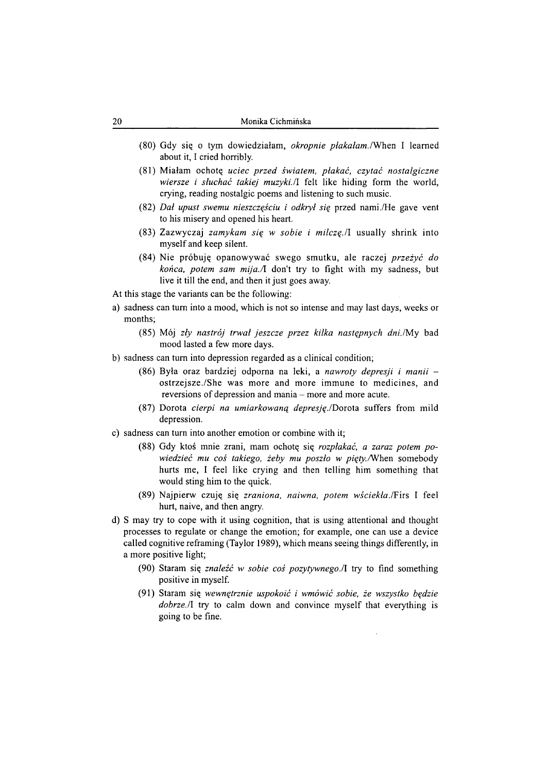- (80) Gdy się o tym dowiedziałam, *okropnie płakałam. I* When I learned about it, I cried horribly.
- (81) Miałam ochotę *uciec przed światem, płakać, czytać nostalgiczne wiersze i słuchać takiej muzyki.* /I felt like hiding form the world, crying, reading nostalgic poems and listening to such music.
- (82) *Dał upust swemu nieszczęściu i odkrył się* przed nami./He gave vent to his misery and opened his heart.
- (83) Zazwyczaj *zamykam się w sobie i milczę.*/1 usually shrink into myself and keep silent.
- (84) Nie próbuję opanowywać swego smutku, ale raczej *przeżyć do końca, potem sam mija.A.* don't try to fight with my sadness, but live it till the end, and then it just goes away.
- At this stage the variants can be the following:
- a) sadness can turn into a mood, which is not so intense and may last days, weeks or months;
	- (85) Mój *zły nastrój trwał jeszcze przez kilka następnych dni./*My bad mood lasted a few more days.
- b) sadness can turn into depression regarded as a clinical condition;
	- (86) Była oraz bardziej odporna na leki, a *nawroty depresji i manii*  ostrzejsze./She was more and more immune to medicines, and reversions of depression and mania – more and more acute.
	- (87) Dorota *cierpi na umiarkowaną depresję./*Dorota suffers from mild depression.
- c) sadness can turn into another emotion or combine with it;
	- (88) Gdy ktoś mnie zrani, mam ochotę się *rozpłakać, a zaraz potem powiedzieć mu coś takiego, żeby mu poszło w pięty./*When somebody hurts me, I feel like crying and then telling him something that would sting him to the quick.
	- (89) Najpierw czuję się *zraniona, naiwna, potem wściekła./*Firs I feel hurt, naive, and then angry.
- d) S may try to cope with it using cognition, that is using attentional and thought processes to regulate or change the emotion; for example, one can use a device called cognitive reframing (Taylor 1989), which means seeing things differently, in a more positive light;
	- (90) Staram się *znaleźć w sobie coś pozytywnego.il* try to find something positive in myself.
	- (91) Staram się *wewnętrznie uspokoić i wmówić sobie, że wszystko będzie dobrze.* If try to calm down and convince myself that everything is going to be fine.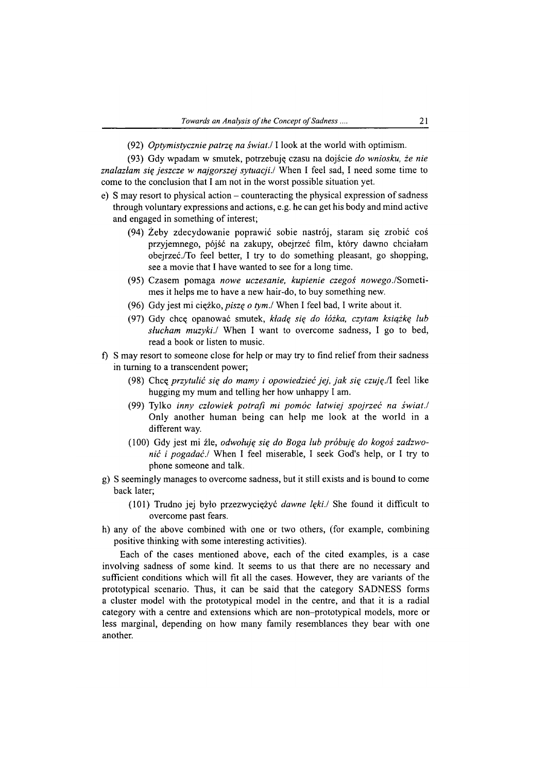(92) *Optymistycznie patrzą na świat./*1 look at the world with optimism.

(93) Gdy wpadam w smutek, potrzebuję czasu na dojście *do wniosku, że nie znalazłam się jeszcze w najgorszej sytuacji./* When I feel sad, I need some time to come to the conclusion that I am not in the worst possible situation yet.

- e) S may resort to physical action counteracting the physical expression of sadness through voluntary expressions and actions, e.g. he can get his body and mind active and engaged in something of interest;
	- (94) Żeby zdecydowanie poprawić sobie nastrój, staram się zrobić coś przyjemnego, pójść na zakupy, obejrzeć film, który dawno chciałam obejrzeć./To feel better, I try to do something pleasant, go shopping, see a movie that I have wanted to see for a long time.
	- (95) Czasem pomaga *nowe uczesanie, kupienie czegoś nowego.*/Sometimes it helps me to have a new hair-do, to buy something new.
	- (96) Gdy jest mi ciężko, *piszę o tym./* When I feel bad, I write about it.
	- (97) Gdy chcę opanować smutek, *kładę się do łóżka, czytam książkę lub słucham muzyki./* When I want to overcome sadness, I go to bed, read a book or listen to music.
- f) S may resort to someone close for help or may try to find relief from their sadness in turning to a transcendent power;
	- (98) Chcę *przytulić się do mamy i opowiedzieć jej, jak się czuję.*/1 feel like hugging my mum and telling her how unhappy I am.
	- (99) Tylko *inny człowiek potrafi mi pomóc łatwiej spojrzeć na świat./* Only another human being can help me look at the world in a different way.
	- (100) Gdy jest mi źle, *odwołuję się do Boga lub próbuję do kogoś zadzwonić i pogadać./* When I feel miserable, I seek God's help, or I try to phone someone and talk.
- g) S seemingly manages to overcome sadness, but it still exists and is bound to come back later;
	- (101) Trudno jej było przezwyciężyć *dawne lęki./* She found it difficult to overcome past fears.
- h) any of the above combined with one or two others, (for example, combining positive thinking with some interesting activities).

Each of the cases mentioned above, each of the cited examples, is a case involving sadness of some kind. It seems to us that there are no necessary and sufficient conditions which will fit all the cases. However, they are variants of the prototypical scenario. Thus, it can be said that the category SADNESS forms a cluster model with the prototypical model in the centre, and that it is a radial category with a centre and extensions which are non-prototypical models, more or less marginal, depending on how many family resemblances they bear with one another.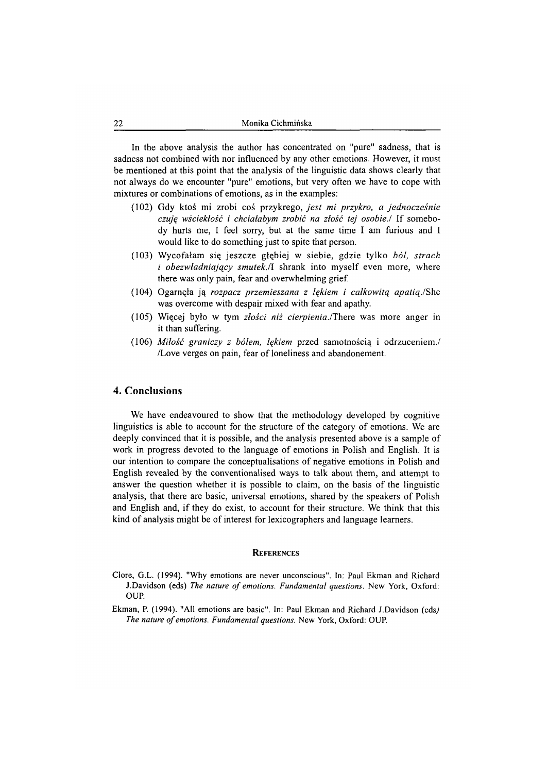In the above analysis the author has concentrated on "pure" sadness, that is sadness not combined with nor influenced by any other emotions. However, it must be mentioned at this point that the analysis of the linguistic data shows clearly that not always do we encounter "pure" emotions, but very often we have to cope with mixtures or combinations of emotions, as in the examples:

- (102) Gdy ktoś mi zrobi coś przykrego, *jest mi przykro, a jednocześnie czuję wściekłość i chciałabym zrobić na złość tej osobie./* If somebody hurts me, I feel sorry, but at the same time I am furious and I would like to do something just to spite that person.
- (103) Wycofałam się jeszcze głębiej w siebie, gdzie tylko *ból, strach i obezwładniający smutek./l* shrank into myself even more, where there was only pain, fear and overwhelming grief.
- (104) Ogarnęła ją *rozpacz przemieszana z lękiem i całkowitą apatią./She* was overcome with despair mixed with fear and apathy.
- (105) Więcej było w tym *złości niż cierpienia./*There was more anger in it than suffering.
- (106) *Miłość graniczy z bólem, lękiem* przed samotnością i odrzuceniem./ /Love verges on pain, fear of loneliness and abandonement.

# **4. Conclusions**

We have endeavoured to show that the methodology developed by cognitive linguistics is able to account for the structure of the category of emotions. We are deeply convinced that it is possible, and the analysis presented above is a sample of work in progress devoted to the language of emotions in Polish and English. It is our intention to compare the conceptualisations of negative emotions in Polish and English revealed by the conventionalised ways to talk about them, and attempt to answer the question whether it is possible to claim, on the basis of the linguistic analysis, that there are basic, universal emotions, shared by the speakers of Polish and English and, if they do exist, to account for their structure. We think that this kind of analysis might be of interest for lexicographers and language learners.

#### **REFERENCES**

- **Clore, G.L. (1994). "Why emotions are never unconscious". In: Paul Ekman and Richard J.Davidson (eds) The nature of emotions. Fundamental questions. New York, Oxford: OUP.**
- **Ekman, P. (1994). "All emotions are basic". In: Paul Ekman and Richard J.Davidson (eds)** *The nature of emotions. Fundamental questions.* New York, Oxford: OUP.